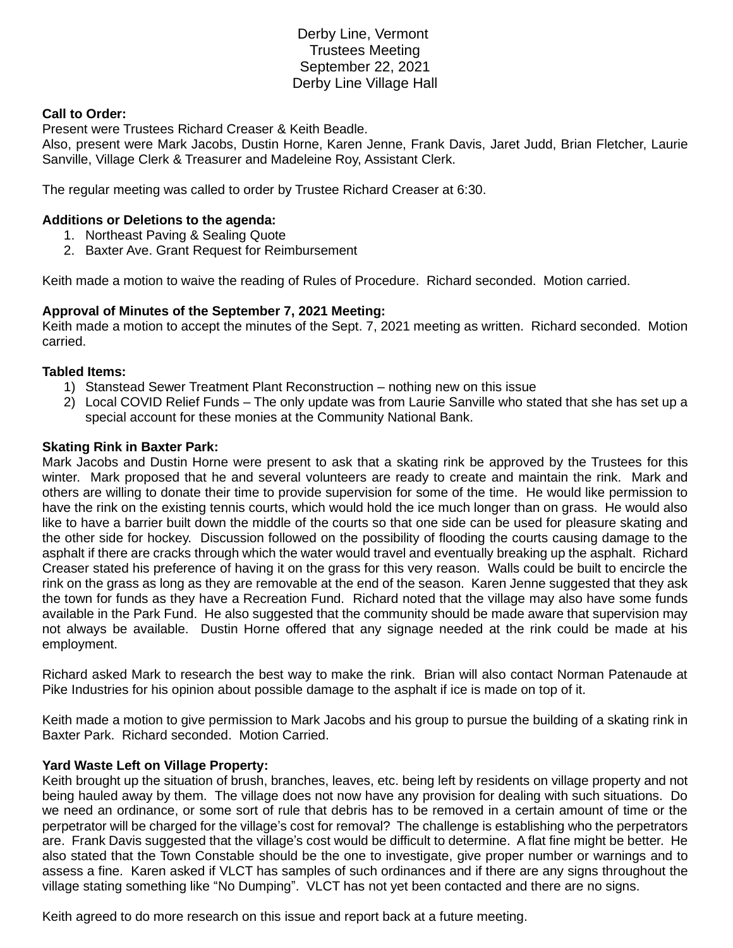Derby Line, Vermont Trustees Meeting September 22, 2021 Derby Line Village Hall

#### **Call to Order:**

Present were Trustees Richard Creaser & Keith Beadle.

Also, present were Mark Jacobs, Dustin Horne, Karen Jenne, Frank Davis, Jaret Judd, Brian Fletcher, Laurie Sanville, Village Clerk & Treasurer and Madeleine Roy, Assistant Clerk.

The regular meeting was called to order by Trustee Richard Creaser at 6:30.

## **Additions or Deletions to the agenda:**

- 1. Northeast Paving & Sealing Quote
- 2. Baxter Ave. Grant Request for Reimbursement

Keith made a motion to waive the reading of Rules of Procedure. Richard seconded. Motion carried.

## **Approval of Minutes of the September 7, 2021 Meeting:**

Keith made a motion to accept the minutes of the Sept. 7, 2021 meeting as written. Richard seconded. Motion carried.

## **Tabled Items:**

- 1) Stanstead Sewer Treatment Plant Reconstruction nothing new on this issue
- 2) Local COVID Relief Funds The only update was from Laurie Sanville who stated that she has set up a special account for these monies at the Community National Bank.

#### **Skating Rink in Baxter Park:**

Mark Jacobs and Dustin Horne were present to ask that a skating rink be approved by the Trustees for this winter. Mark proposed that he and several volunteers are ready to create and maintain the rink. Mark and others are willing to donate their time to provide supervision for some of the time. He would like permission to have the rink on the existing tennis courts, which would hold the ice much longer than on grass. He would also like to have a barrier built down the middle of the courts so that one side can be used for pleasure skating and the other side for hockey. Discussion followed on the possibility of flooding the courts causing damage to the asphalt if there are cracks through which the water would travel and eventually breaking up the asphalt. Richard Creaser stated his preference of having it on the grass for this very reason. Walls could be built to encircle the rink on the grass as long as they are removable at the end of the season. Karen Jenne suggested that they ask the town for funds as they have a Recreation Fund. Richard noted that the village may also have some funds available in the Park Fund. He also suggested that the community should be made aware that supervision may not always be available. Dustin Horne offered that any signage needed at the rink could be made at his employment.

Richard asked Mark to research the best way to make the rink. Brian will also contact Norman Patenaude at Pike Industries for his opinion about possible damage to the asphalt if ice is made on top of it.

Keith made a motion to give permission to Mark Jacobs and his group to pursue the building of a skating rink in Baxter Park. Richard seconded. Motion Carried.

#### **Yard Waste Left on Village Property:**

Keith brought up the situation of brush, branches, leaves, etc. being left by residents on village property and not being hauled away by them. The village does not now have any provision for dealing with such situations. Do we need an ordinance, or some sort of rule that debris has to be removed in a certain amount of time or the perpetrator will be charged for the village's cost for removal? The challenge is establishing who the perpetrators are. Frank Davis suggested that the village's cost would be difficult to determine. A flat fine might be better. He also stated that the Town Constable should be the one to investigate, give proper number or warnings and to assess a fine. Karen asked if VLCT has samples of such ordinances and if there are any signs throughout the village stating something like "No Dumping". VLCT has not yet been contacted and there are no signs.

Keith agreed to do more research on this issue and report back at a future meeting.